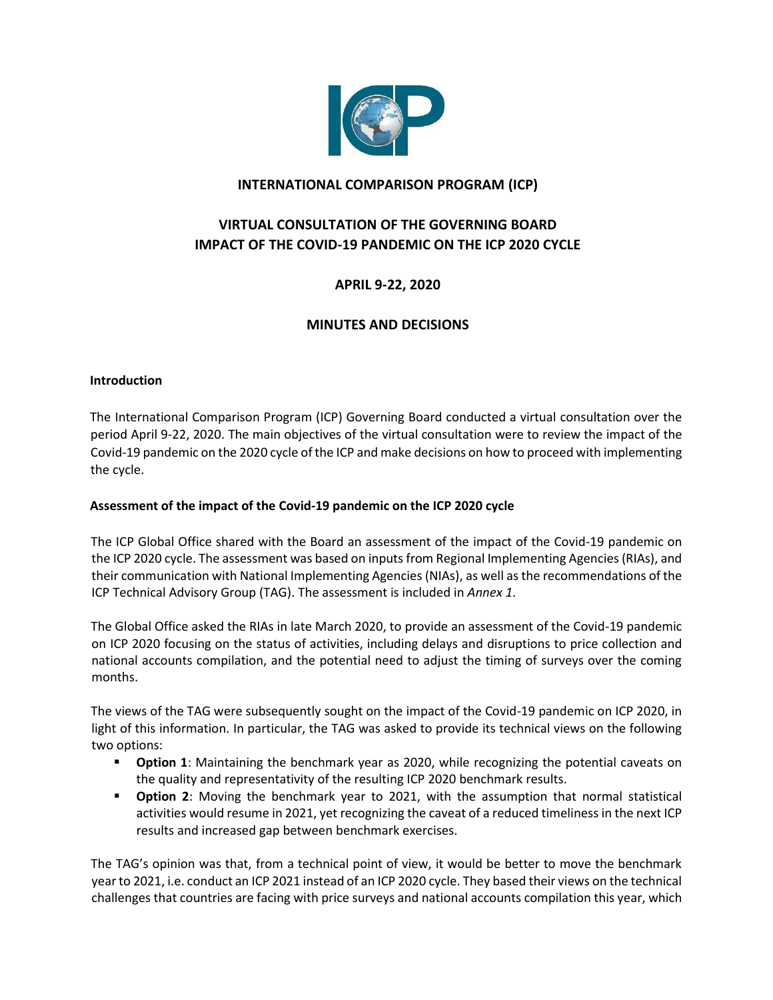

# **INTERNATIONAL COMPARISON PROGRAM (ICP)**

# **VIRTUAL CONSULTATION OF THE GOVERNING BOARD IMPACT OF THE COVID-19 PANDEMIC ON THE ICP 2020 CYCLE**

# **APRIL 9-22, 2020**

# **MINUTES AND DECISIONS**

#### **Introduction**

The International Comparison Program (ICP) Governing Board conducted a virtual consultation over the period April 9-22, 2020. The main objectives of the virtual consultation were to review the impact of the Covid-19 pandemic on the 2020 cycle of the ICP and make decisions on how to proceed with implementing the cycle.

#### **Assessment of the impact of the Covid-19 pandemic on the ICP 2020 cycle**

The ICP Global Office shared with the Board an assessment of the impact of the Covid-19 pandemic on the ICP 2020 cycle. The assessment was based on inputs from Regional Implementing Agencies (RIAs), and their communication with National Implementing Agencies (NIAs), as well as the recommendations of the ICP Technical Advisory Group (TAG). The assessment is included in *Annex 1*.

The Global Office asked the RIAs in late March 2020, to provide an assessment of the Covid-19 pandemic on ICP 2020 focusing on the status of activities, including delays and disruptions to price collection and national accounts compilation, and the potential need to adjust the timing of surveys over the coming months.

The views of the TAG were subsequently sought on the impact of the Covid-19 pandemic on ICP 2020, in light of this information. In particular, the TAG was asked to provide its technical views on the following two options:

- **Option 1**: Maintaining the benchmark year as 2020, while recognizing the potential caveats on the quality and representativity of the resulting ICP 2020 benchmark results.
- **Option 2**: Moving the benchmark year to 2021, with the assumption that normal statistical activities would resume in 2021, yet recognizing the caveat of a reduced timeliness in the next ICP results and increased gap between benchmark exercises.

The TAG's opinion was that, from a technical point of view, it would be better to move the benchmark year to 2021, i.e. conduct an ICP 2021 instead of an ICP 2020 cycle. They based their views on the technical challenges that countries are facing with price surveys and national accounts compilation this year, which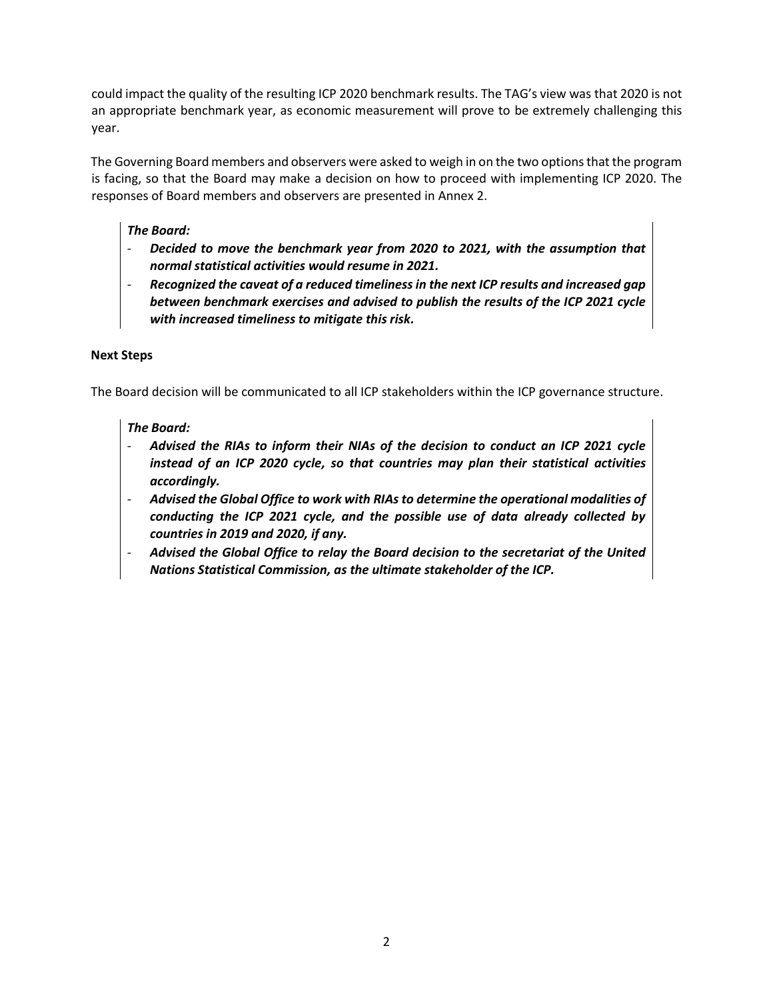could impact the quality of the resulting ICP 2020 benchmark results. The TAG's view was that 2020 is not an appropriate benchmark year, as economic measurement will prove to be extremely challenging this year.

The Governing Board members and observers were asked to weigh in on the two options that the program is facing, so that the Board may make a decision on how to proceed with implementing ICP 2020. The responses of Board members and observers are presented in Annex 2.

# *The Board:*

- *Decided to move the benchmark year from 2020 to 2021, with the assumption that normal statistical activities would resume in 2021.*
- *Recognized the caveat of a reduced timeliness in the next ICP results and increased gap between benchmark exercises and advised to publish the results of the ICP 2021 cycle with increased timeliness to mitigate this risk.*

## **Next Steps**

The Board decision will be communicated to all ICP stakeholders within the ICP governance structure.

# *The Board:*

- *Advised the RIAs to inform their NIAs of the decision to conduct an ICP 2021 cycle instead of an ICP 2020 cycle, so that countries may plan their statistical activities accordingly.*
- *Advised the Global Office to work with RIAs to determine the operational modalities of conducting the ICP 2021 cycle, and the possible use of data already collected by countries in 2019 and 2020, if any.*
- *Advised the Global Office to relay the Board decision to the secretariat of the United Nations Statistical Commission, as the ultimate stakeholder of the ICP.*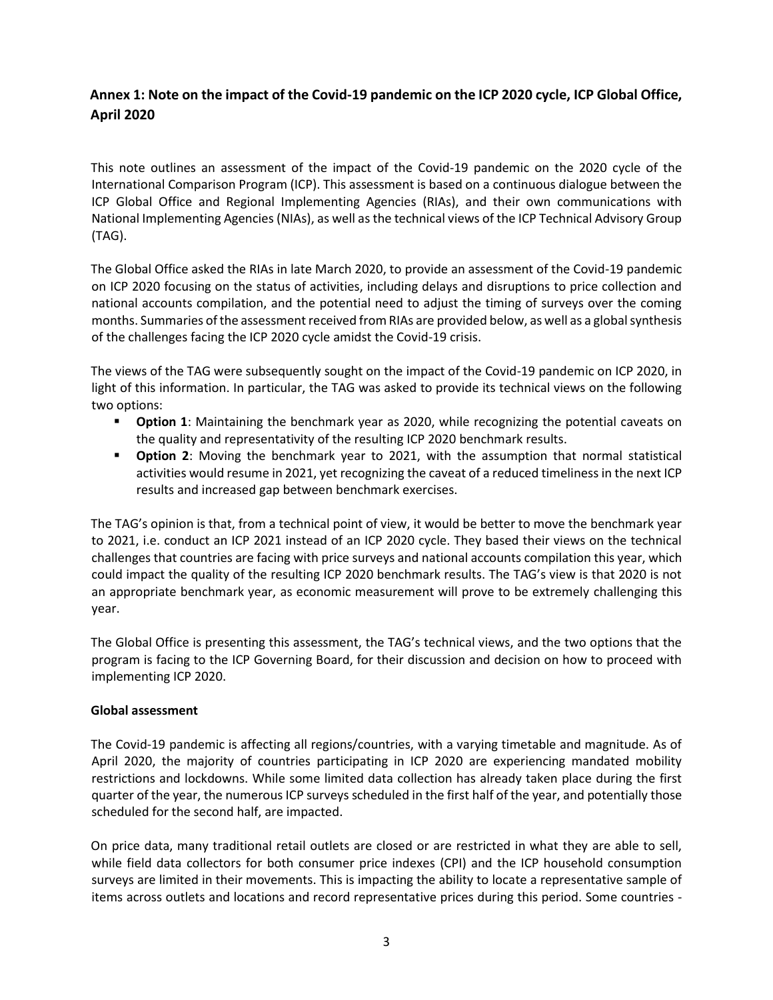# **Annex 1: Note on the impact of the Covid-19 pandemic on the ICP 2020 cycle, ICP Global Office, April 2020**

This note outlines an assessment of the impact of the Covid-19 pandemic on the 2020 cycle of the International Comparison Program (ICP). This assessment is based on a continuous dialogue between the ICP Global Office and Regional Implementing Agencies (RIAs), and their own communications with National Implementing Agencies (NIAs), as well as the technical views of the ICP Technical Advisory Group (TAG).

The Global Office asked the RIAs in late March 2020, to provide an assessment of the Covid-19 pandemic on ICP 2020 focusing on the status of activities, including delays and disruptions to price collection and national accounts compilation, and the potential need to adjust the timing of surveys over the coming months. Summaries of the assessment received from RIAs are provided below, as well as a global synthesis of the challenges facing the ICP 2020 cycle amidst the Covid-19 crisis.

The views of the TAG were subsequently sought on the impact of the Covid-19 pandemic on ICP 2020, in light of this information. In particular, the TAG was asked to provide its technical views on the following two options:

- **Option 1**: Maintaining the benchmark year as 2020, while recognizing the potential caveats on the quality and representativity of the resulting ICP 2020 benchmark results.
- **Option 2**: Moving the benchmark year to 2021, with the assumption that normal statistical activities would resume in 2021, yet recognizing the caveat of a reduced timeliness in the next ICP results and increased gap between benchmark exercises.

The TAG's opinion is that, from a technical point of view, it would be better to move the benchmark year to 2021, i.e. conduct an ICP 2021 instead of an ICP 2020 cycle. They based their views on the technical challenges that countries are facing with price surveys and national accounts compilation this year, which could impact the quality of the resulting ICP 2020 benchmark results. The TAG's view is that 2020 is not an appropriate benchmark year, as economic measurement will prove to be extremely challenging this year.

The Global Office is presenting this assessment, the TAG's technical views, and the two options that the program is facing to the ICP Governing Board, for their discussion and decision on how to proceed with implementing ICP 2020.

#### **Global assessment**

The Covid-19 pandemic is affecting all regions/countries, with a varying timetable and magnitude. As of April 2020, the majority of countries participating in ICP 2020 are experiencing mandated mobility restrictions and lockdowns. While some limited data collection has already taken place during the first quarter of the year, the numerous ICP surveys scheduled in the first half of the year, and potentially those scheduled for the second half, are impacted.

On price data, many traditional retail outlets are closed or are restricted in what they are able to sell, while field data collectors for both consumer price indexes (CPI) and the ICP household consumption surveys are limited in their movements. This is impacting the ability to locate a representative sample of items across outlets and locations and record representative prices during this period. Some countries -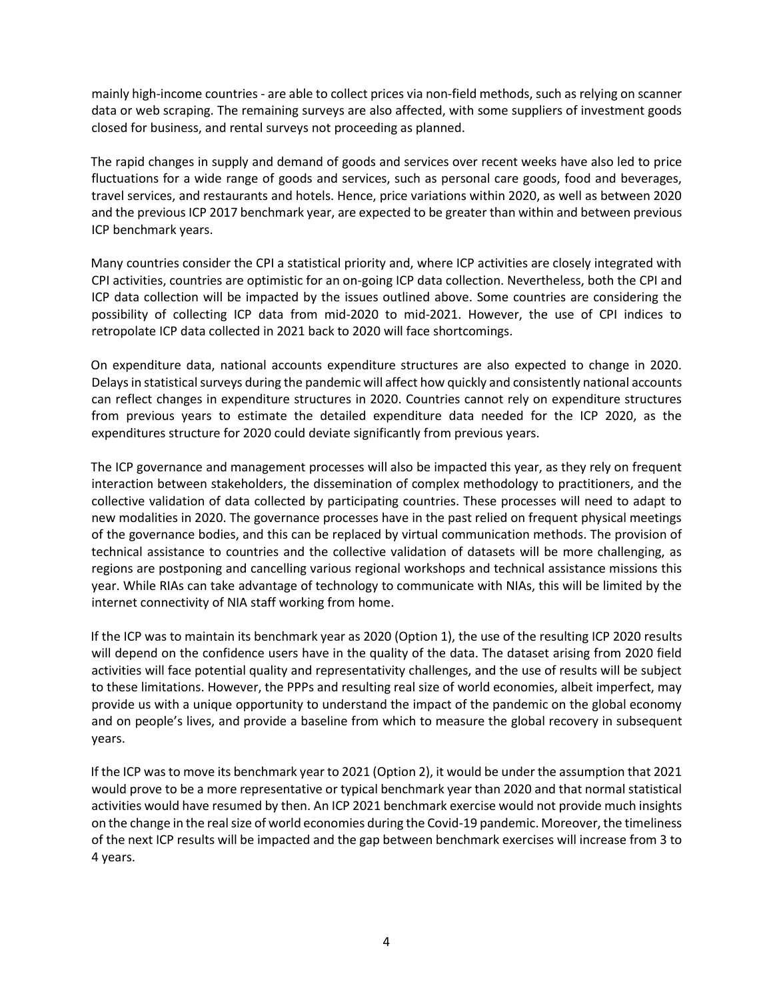mainly high-income countries - are able to collect prices via non-field methods, such as relying on scanner data or web scraping. The remaining surveys are also affected, with some suppliers of investment goods closed for business, and rental surveys not proceeding as planned.

The rapid changes in supply and demand of goods and services over recent weeks have also led to price fluctuations for a wide range of goods and services, such as personal care goods, food and beverages, travel services, and restaurants and hotels. Hence, price variations within 2020, as well as between 2020 and the previous ICP 2017 benchmark year, are expected to be greater than within and between previous ICP benchmark years.

Many countries consider the CPI a statistical priority and, where ICP activities are closely integrated with CPI activities, countries are optimistic for an on-going ICP data collection. Nevertheless, both the CPI and ICP data collection will be impacted by the issues outlined above. Some countries are considering the possibility of collecting ICP data from mid-2020 to mid-2021. However, the use of CPI indices to retropolate ICP data collected in 2021 back to 2020 will face shortcomings.

On expenditure data, national accounts expenditure structures are also expected to change in 2020. Delays in statistical surveys during the pandemic will affect how quickly and consistently national accounts can reflect changes in expenditure structures in 2020. Countries cannot rely on expenditure structures from previous years to estimate the detailed expenditure data needed for the ICP 2020, as the expenditures structure for 2020 could deviate significantly from previous years.

The ICP governance and management processes will also be impacted this year, as they rely on frequent interaction between stakeholders, the dissemination of complex methodology to practitioners, and the collective validation of data collected by participating countries. These processes will need to adapt to new modalities in 2020. The governance processes have in the past relied on frequent physical meetings of the governance bodies, and this can be replaced by virtual communication methods. The provision of technical assistance to countries and the collective validation of datasets will be more challenging, as regions are postponing and cancelling various regional workshops and technical assistance missions this year. While RIAs can take advantage of technology to communicate with NIAs, this will be limited by the internet connectivity of NIA staff working from home.

If the ICP was to maintain its benchmark year as 2020 (Option 1), the use of the resulting ICP 2020 results will depend on the confidence users have in the quality of the data. The dataset arising from 2020 field activities will face potential quality and representativity challenges, and the use of results will be subject to these limitations. However, the PPPs and resulting real size of world economies, albeit imperfect, may provide us with a unique opportunity to understand the impact of the pandemic on the global economy and on people's lives, and provide a baseline from which to measure the global recovery in subsequent years.

If the ICP was to move its benchmark year to 2021 (Option 2), it would be under the assumption that 2021 would prove to be a more representative or typical benchmark year than 2020 and that normal statistical activities would have resumed by then. An ICP 2021 benchmark exercise would not provide much insights on the change in the real size of world economies during the Covid-19 pandemic. Moreover, the timeliness of the next ICP results will be impacted and the gap between benchmark exercises will increase from 3 to 4 years.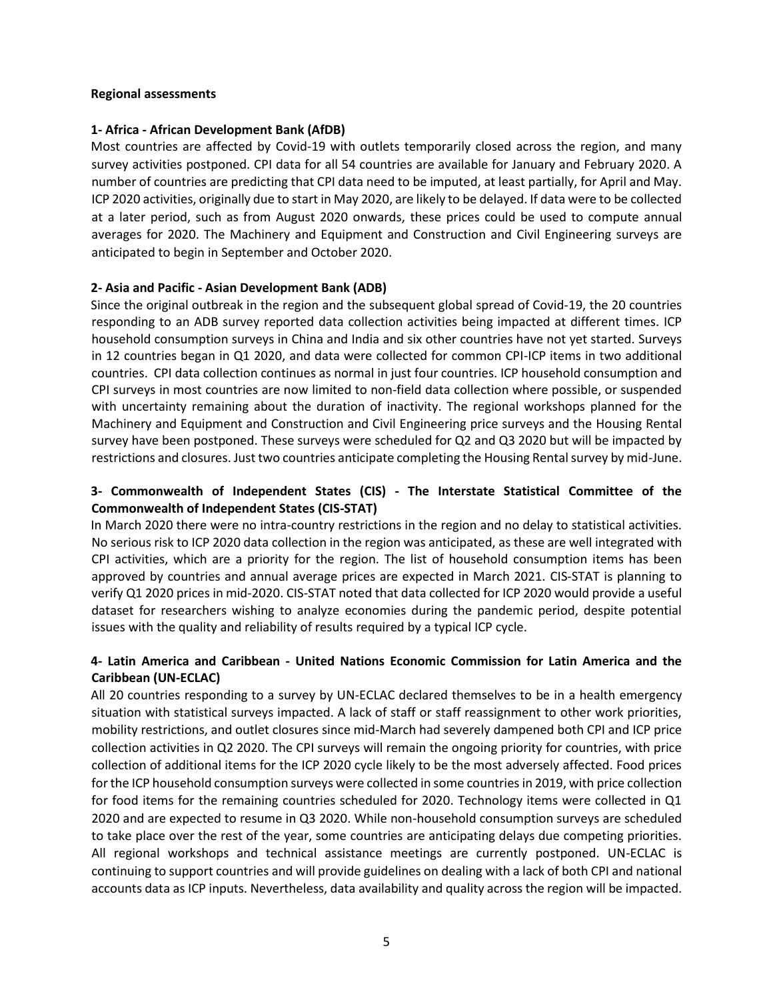#### **Regional assessments**

#### **1- Africa - African Development Bank (AfDB)**

Most countries are affected by Covid-19 with outlets temporarily closed across the region, and many survey activities postponed. CPI data for all 54 countries are available for January and February 2020. A number of countries are predicting that CPI data need to be imputed, at least partially, for April and May. ICP 2020 activities, originally due to start in May 2020, are likely to be delayed. If data were to be collected at a later period, such as from August 2020 onwards, these prices could be used to compute annual averages for 2020. The Machinery and Equipment and Construction and Civil Engineering surveys are anticipated to begin in September and October 2020.

#### **2- Asia and Pacific - Asian Development Bank (ADB)**

Since the original outbreak in the region and the subsequent global spread of Covid-19, the 20 countries responding to an ADB survey reported data collection activities being impacted at different times. ICP household consumption surveys in China and India and six other countries have not yet started. Surveys in 12 countries began in Q1 2020, and data were collected for common CPI-ICP items in two additional countries. CPI data collection continues as normal in just four countries. ICP household consumption and CPI surveys in most countries are now limited to non-field data collection where possible, or suspended with uncertainty remaining about the duration of inactivity. The regional workshops planned for the Machinery and Equipment and Construction and Civil Engineering price surveys and the Housing Rental survey have been postponed. These surveys were scheduled for Q2 and Q3 2020 but will be impacted by restrictions and closures. Just two countries anticipate completing the Housing Rental survey by mid-June.

## **3- Commonwealth of Independent States (CIS) - The Interstate Statistical Committee of the Commonwealth of Independent States (CIS-STAT)**

In March 2020 there were no intra-country restrictions in the region and no delay to statistical activities. No serious risk to ICP 2020 data collection in the region was anticipated, as these are well integrated with CPI activities, which are a priority for the region. The list of household consumption items has been approved by countries and annual average prices are expected in March 2021. CIS-STAT is planning to verify Q1 2020 prices in mid-2020. CIS-STAT noted that data collected for ICP 2020 would provide a useful dataset for researchers wishing to analyze economies during the pandemic period, despite potential issues with the quality and reliability of results required by a typical ICP cycle.

## **4- Latin America and Caribbean - United Nations Economic Commission for Latin America and the Caribbean (UN-ECLAC)**

All 20 countries responding to a survey by UN-ECLAC declared themselves to be in a health emergency situation with statistical surveys impacted. A lack of staff or staff reassignment to other work priorities, mobility restrictions, and outlet closures since mid-March had severely dampened both CPI and ICP price collection activities in Q2 2020. The CPI surveys will remain the ongoing priority for countries, with price collection of additional items for the ICP 2020 cycle likely to be the most adversely affected. Food prices for the ICP household consumption surveys were collected in some countries in 2019, with price collection for food items for the remaining countries scheduled for 2020. Technology items were collected in Q1 2020 and are expected to resume in Q3 2020. While non-household consumption surveys are scheduled to take place over the rest of the year, some countries are anticipating delays due competing priorities. All regional workshops and technical assistance meetings are currently postponed. UN-ECLAC is continuing to support countries and will provide guidelines on dealing with a lack of both CPI and national accounts data as ICP inputs. Nevertheless, data availability and quality across the region will be impacted.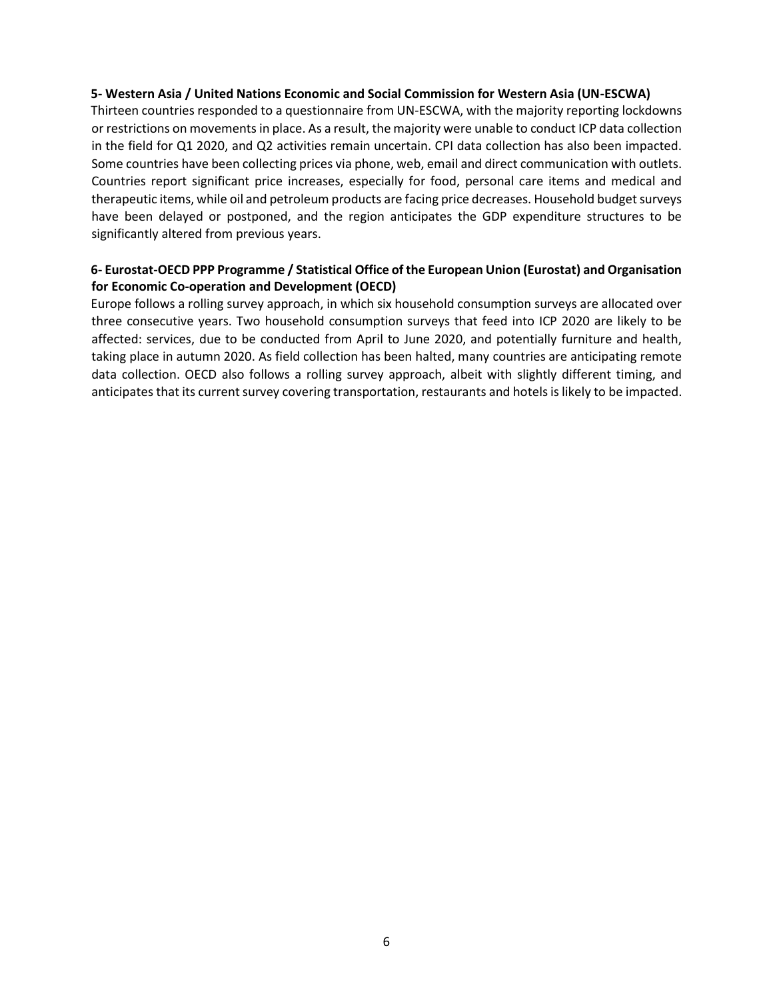#### **5- Western Asia / United Nations Economic and Social Commission for Western Asia (UN-ESCWA)**

Thirteen countries responded to a questionnaire from UN-ESCWA, with the majority reporting lockdowns or restrictions on movements in place. As a result, the majority were unable to conduct ICP data collection in the field for Q1 2020, and Q2 activities remain uncertain. CPI data collection has also been impacted. Some countries have been collecting prices via phone, web, email and direct communication with outlets. Countries report significant price increases, especially for food, personal care items and medical and therapeutic items, while oil and petroleum products are facing price decreases. Household budget surveys have been delayed or postponed, and the region anticipates the GDP expenditure structures to be significantly altered from previous years.

## **6- Eurostat-OECD PPP Programme / Statistical Office of the European Union (Eurostat) and Organisation for Economic Co-operation and Development (OECD)**

Europe follows a rolling survey approach, in which six household consumption surveys are allocated over three consecutive years. Two household consumption surveys that feed into ICP 2020 are likely to be affected: services, due to be conducted from April to June 2020, and potentially furniture and health, taking place in autumn 2020. As field collection has been halted, many countries are anticipating remote data collection. OECD also follows a rolling survey approach, albeit with slightly different timing, and anticipates that its current survey covering transportation, restaurants and hotels is likely to be impacted.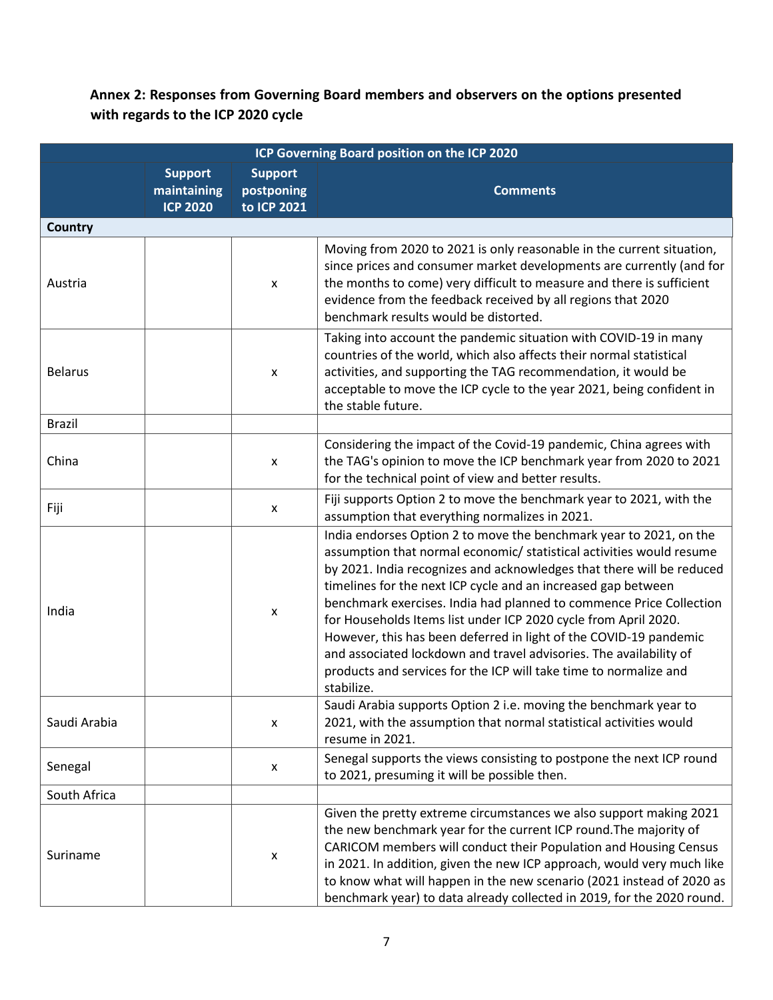# **Annex 2: Responses from Governing Board members and observers on the options presented with regards to the ICP 2020 cycle**

| ICP Governing Board position on the ICP 2020 |                                                  |                                             |                                                                                                                                                                                                                                                                                                                                                                                                                                                                                                                                                                                                                                                              |  |
|----------------------------------------------|--------------------------------------------------|---------------------------------------------|--------------------------------------------------------------------------------------------------------------------------------------------------------------------------------------------------------------------------------------------------------------------------------------------------------------------------------------------------------------------------------------------------------------------------------------------------------------------------------------------------------------------------------------------------------------------------------------------------------------------------------------------------------------|--|
|                                              | <b>Support</b><br>maintaining<br><b>ICP 2020</b> | <b>Support</b><br>postponing<br>to ICP 2021 | <b>Comments</b>                                                                                                                                                                                                                                                                                                                                                                                                                                                                                                                                                                                                                                              |  |
| <b>Country</b>                               |                                                  |                                             |                                                                                                                                                                                                                                                                                                                                                                                                                                                                                                                                                                                                                                                              |  |
| Austria                                      |                                                  | $\pmb{\mathsf{x}}$                          | Moving from 2020 to 2021 is only reasonable in the current situation,<br>since prices and consumer market developments are currently (and for<br>the months to come) very difficult to measure and there is sufficient<br>evidence from the feedback received by all regions that 2020<br>benchmark results would be distorted.                                                                                                                                                                                                                                                                                                                              |  |
| <b>Belarus</b>                               |                                                  | X                                           | Taking into account the pandemic situation with COVID-19 in many<br>countries of the world, which also affects their normal statistical<br>activities, and supporting the TAG recommendation, it would be<br>acceptable to move the ICP cycle to the year 2021, being confident in<br>the stable future.                                                                                                                                                                                                                                                                                                                                                     |  |
| <b>Brazil</b>                                |                                                  |                                             |                                                                                                                                                                                                                                                                                                                                                                                                                                                                                                                                                                                                                                                              |  |
| China                                        |                                                  | X                                           | Considering the impact of the Covid-19 pandemic, China agrees with<br>the TAG's opinion to move the ICP benchmark year from 2020 to 2021<br>for the technical point of view and better results.                                                                                                                                                                                                                                                                                                                                                                                                                                                              |  |
| Fiji                                         |                                                  | $\pmb{\mathsf{x}}$                          | Fiji supports Option 2 to move the benchmark year to 2021, with the<br>assumption that everything normalizes in 2021.                                                                                                                                                                                                                                                                                                                                                                                                                                                                                                                                        |  |
| India                                        |                                                  | X                                           | India endorses Option 2 to move the benchmark year to 2021, on the<br>assumption that normal economic/ statistical activities would resume<br>by 2021. India recognizes and acknowledges that there will be reduced<br>timelines for the next ICP cycle and an increased gap between<br>benchmark exercises. India had planned to commence Price Collection<br>for Households Items list under ICP 2020 cycle from April 2020.<br>However, this has been deferred in light of the COVID-19 pandemic<br>and associated lockdown and travel advisories. The availability of<br>products and services for the ICP will take time to normalize and<br>stabilize. |  |
| Saudi Arabia                                 |                                                  | X                                           | Saudi Arabia supports Option 2 i.e. moving the benchmark year to<br>2021, with the assumption that normal statistical activities would<br>resume in 2021.                                                                                                                                                                                                                                                                                                                                                                                                                                                                                                    |  |
| Senegal                                      |                                                  | X                                           | Senegal supports the views consisting to postpone the next ICP round<br>to 2021, presuming it will be possible then.                                                                                                                                                                                                                                                                                                                                                                                                                                                                                                                                         |  |
| South Africa                                 |                                                  |                                             |                                                                                                                                                                                                                                                                                                                                                                                                                                                                                                                                                                                                                                                              |  |
| Suriname                                     |                                                  | X                                           | Given the pretty extreme circumstances we also support making 2021<br>the new benchmark year for the current ICP round. The majority of<br>CARICOM members will conduct their Population and Housing Census<br>in 2021. In addition, given the new ICP approach, would very much like<br>to know what will happen in the new scenario (2021 instead of 2020 as<br>benchmark year) to data already collected in 2019, for the 2020 round.                                                                                                                                                                                                                     |  |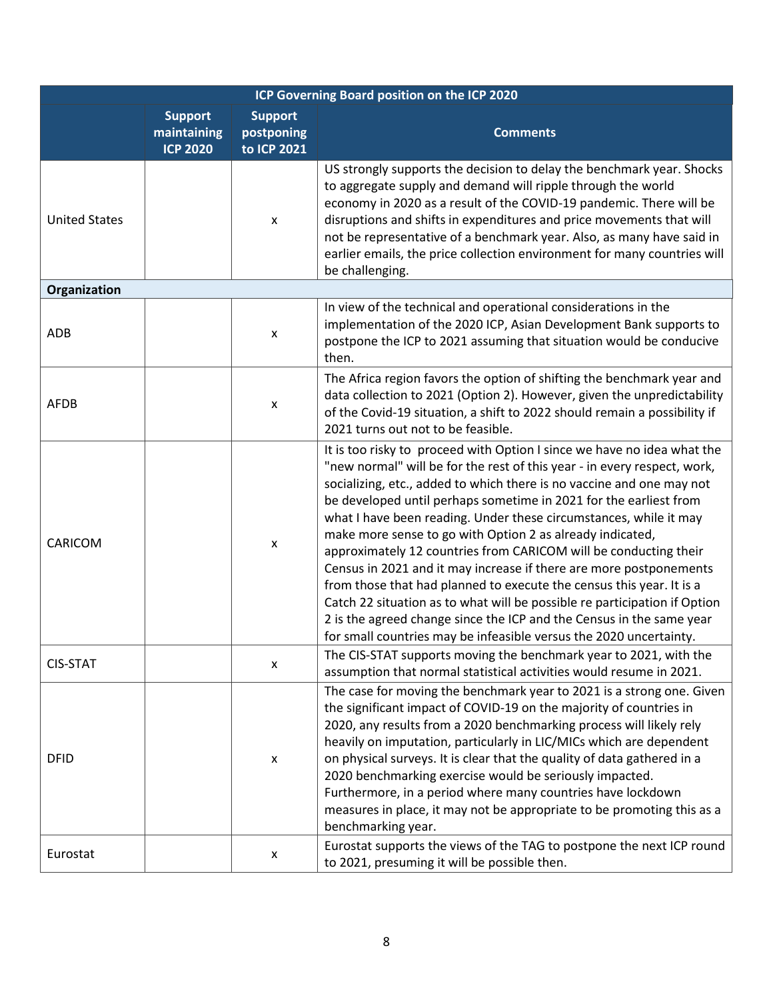| ICP Governing Board position on the ICP 2020 |                                                  |                                             |                                                                                                                                                                                                                                                                                                                                                                                                                                                                                                                                                                                                                                                                                                                                                                                                                                                                                  |  |  |
|----------------------------------------------|--------------------------------------------------|---------------------------------------------|----------------------------------------------------------------------------------------------------------------------------------------------------------------------------------------------------------------------------------------------------------------------------------------------------------------------------------------------------------------------------------------------------------------------------------------------------------------------------------------------------------------------------------------------------------------------------------------------------------------------------------------------------------------------------------------------------------------------------------------------------------------------------------------------------------------------------------------------------------------------------------|--|--|
|                                              | <b>Support</b><br>maintaining<br><b>ICP 2020</b> | <b>Support</b><br>postponing<br>to ICP 2021 | <b>Comments</b>                                                                                                                                                                                                                                                                                                                                                                                                                                                                                                                                                                                                                                                                                                                                                                                                                                                                  |  |  |
| <b>United States</b>                         |                                                  | X                                           | US strongly supports the decision to delay the benchmark year. Shocks<br>to aggregate supply and demand will ripple through the world<br>economy in 2020 as a result of the COVID-19 pandemic. There will be<br>disruptions and shifts in expenditures and price movements that will<br>not be representative of a benchmark year. Also, as many have said in<br>earlier emails, the price collection environment for many countries will<br>be challenging.                                                                                                                                                                                                                                                                                                                                                                                                                     |  |  |
| Organization                                 |                                                  |                                             |                                                                                                                                                                                                                                                                                                                                                                                                                                                                                                                                                                                                                                                                                                                                                                                                                                                                                  |  |  |
| ADB                                          |                                                  | X                                           | In view of the technical and operational considerations in the<br>implementation of the 2020 ICP, Asian Development Bank supports to<br>postpone the ICP to 2021 assuming that situation would be conducive<br>then.                                                                                                                                                                                                                                                                                                                                                                                                                                                                                                                                                                                                                                                             |  |  |
| AFDB                                         |                                                  | $\pmb{\mathsf{x}}$                          | The Africa region favors the option of shifting the benchmark year and<br>data collection to 2021 (Option 2). However, given the unpredictability<br>of the Covid-19 situation, a shift to 2022 should remain a possibility if<br>2021 turns out not to be feasible.                                                                                                                                                                                                                                                                                                                                                                                                                                                                                                                                                                                                             |  |  |
| CARICOM                                      |                                                  | X                                           | It is too risky to proceed with Option I since we have no idea what the<br>"new normal" will be for the rest of this year - in every respect, work,<br>socializing, etc., added to which there is no vaccine and one may not<br>be developed until perhaps sometime in 2021 for the earliest from<br>what I have been reading. Under these circumstances, while it may<br>make more sense to go with Option 2 as already indicated,<br>approximately 12 countries from CARICOM will be conducting their<br>Census in 2021 and it may increase if there are more postponements<br>from those that had planned to execute the census this year. It is a<br>Catch 22 situation as to what will be possible re participation if Option<br>2 is the agreed change since the ICP and the Census in the same year<br>for small countries may be infeasible versus the 2020 uncertainty. |  |  |
| <b>CIS-STAT</b>                              |                                                  | X                                           | The CIS-STAT supports moving the benchmark year to 2021, with the<br>assumption that normal statistical activities would resume in 2021.                                                                                                                                                                                                                                                                                                                                                                                                                                                                                                                                                                                                                                                                                                                                         |  |  |
| <b>DFID</b>                                  |                                                  | $\pmb{\mathsf{x}}$                          | The case for moving the benchmark year to 2021 is a strong one. Given<br>the significant impact of COVID-19 on the majority of countries in<br>2020, any results from a 2020 benchmarking process will likely rely<br>heavily on imputation, particularly in LIC/MICs which are dependent<br>on physical surveys. It is clear that the quality of data gathered in a<br>2020 benchmarking exercise would be seriously impacted.<br>Furthermore, in a period where many countries have lockdown<br>measures in place, it may not be appropriate to be promoting this as a<br>benchmarking year.                                                                                                                                                                                                                                                                                   |  |  |
| Eurostat                                     |                                                  | X                                           | Eurostat supports the views of the TAG to postpone the next ICP round<br>to 2021, presuming it will be possible then.                                                                                                                                                                                                                                                                                                                                                                                                                                                                                                                                                                                                                                                                                                                                                            |  |  |